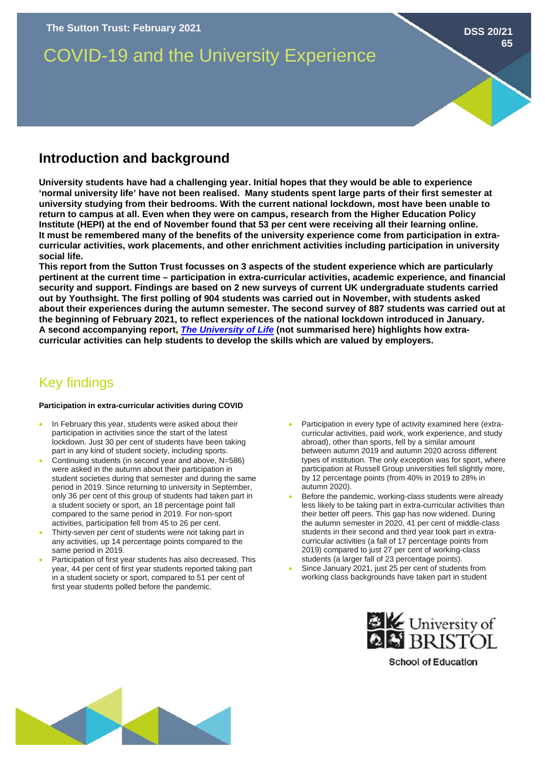

### **curricular activities, work placements, and other enrichment activities including participation in university social life. This report from the Sutton Trust focusses on 3 aspects of the student experience which are particularly pertinent at the current time – participation in extra-curricular activities, academic experience, and financial security and support. Findings are based on 2 new surveys of current UK undergraduate students carried out by Youthsight. The first polling of 904 students was carried out in November, with students asked about their experiences during the autumn semester. The second survey of 887 students was carried out at**

**the beginning of February 2021, to reflect experiences of the national lockdown introduced in January. A second accompanying report,** *[The University of Life](https://www.suttontrust.com/our-research/the-university-of-life-skills-employability-students)* **(not summarised here) highlights how extracurricular activities can help students to develop the skills which are valued by employers.** 

# Key findings

#### **Participation in extra-curricular activities during COVID**

- In February this year, students were asked about their participation in activities since the start of the latest lockdown. Just 30 per cent of students have been taking part in any kind of student society, including sports.
- Continuing students (in second year and above, N=586) were asked in the autumn about their participation in student societies during that semester and during the same period in 2019. Since returning to university in September, only 36 per cent of this group of students had taken part in a student society or sport, an 18 percentage point fall compared to the same period in 2019. For non-sport activities, participation fell from 45 to 26 per cent.
- Thirty-seven per cent of students were not taking part in any activities, up 14 percentage points compared to the same period in 2019.
- Participation of first year students has also decreased. This year, 44 per cent of first year students reported taking part in a student society or sport, compared to 51 per cent of first year students polled before the pandemic.
- Participation in every type of activity examined here (extracurricular activities, paid work, work experience, and study abroad), other than sports, fell by a similar amount between autumn 2019 and autumn 2020 across different types of institution. The only exception was for sport, where participation at Russell Group universities fell slightly more, by 12 percentage points (from 40% in 2019 to 28% in autumn 2020).
- Before the pandemic, working-class students were already less likely to be taking part in extra-curricular activities than their better off peers. This gap has now widened. During the autumn semester in 2020, 41 per cent of middle-class students in their second and third year took part in extracurricular activities (a fall of 17 percentage points from 2019) compared to just 27 per cent of working-class students (a larger fall of 23 percentage points).
- Since January 2021, just 25 per cent of students from working class backgrounds have taken part in student



**School of Education**